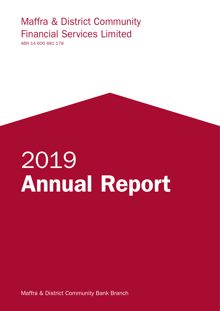# Maffra & District Community Financial Services Limited

ABN 14 600 481 178

# 2019 Annual Report

Maffra & District Community Bank Branch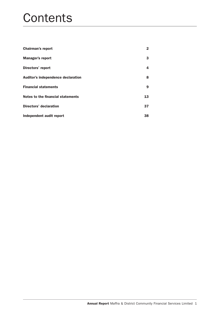# **Contents**

| <b>Chairman's report</b>           | $\mathbf{2}$ |
|------------------------------------|--------------|
| <b>Manager's report</b>            | 3            |
| Directors' report                  | 4            |
| Auditor's independence declaration | 8            |
| <b>Financial statements</b>        | 9            |
| Notes to the financial statements  | 13           |
| <b>Directors' declaration</b>      | 37           |
| Independent audit report           | 38           |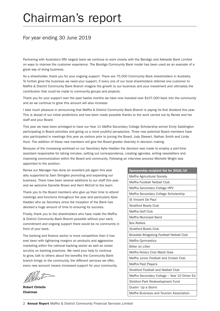# Chairman's report

# For year ending 30 June 2019

Partnering with Australia's fifth largest bank we continue to work closely with the Bendigo and Adelaide Bank Limited on ways to improve the customer experience. The Bendigo Community Bank model has been used as an example of a great way of doing business.

As a shareholder, thank you for your ongoing support. There are 75,000 Community Bank shareholders in Australia. To further grow the business we need your support, if every one of our local shareholders referred one customer to Maffra & District Community Bank Branch imagine the growth to our business and your investment and ultimately the contribution that could be made to community groups and projects.

Thank you for your support over the past twelve months we have now invested over \$107,000 back into the community and as we continue to grow this amount will also increase.

I take much pleasure in announcing that Maffra & District Community Bank Branch is paying its first dividend this year. This is ahead of our initial predictions and has been made possible thanks to the work carried out by Renee and her staff and your Board.

This year we have been privileged to have our Year 11 Maffra Secondary College Scholarship winner Emily Saddington participating in Board activities and giving us a more youthful perspective. Three new potential Board members have also participated in meetings this year as visitors prior to joining the Board, Judy Stewart, Nathan Smith and Linda Hunt. The addition of these new members will give the Board greater diversity in decision making.

Because of the increasing workload on our Secretary Kylie Hadden the decision was made to employ a part-time assistant responsible for taking minutes, setting out correspondence, creating agendas, writing newsletters and improving communication within the Board and community. Following an interview process Michelle Wright was appointed to the position.

Renee our Manager has done an excellent job again this year ably supported by Sam Shingles promoting and expanding our business. There have been several additions to our staff this year and we welcome Danielle Brown and Kerri McColl to the team.

Thank you to the Board members who give up their time to attend meetings and functions throughout the year and particularly Kylie Hadden who as Secretary since the inception of the Bank has devoted a huge amount of time to ensuring its success.

Finally, thank you to the shareholders who have made the Maffra & District Community Bank Branch possible without your early commitment and ongoing support there would be no community in front of your bank.

The banking and finance sector is more competitive than it has ever been with tightening margins on products and aggressive marketing within the national banking sector as well as closer scrutiny on banking practices. We need your help to continue to grow, talk to others about the benefits the Community Bank branch brings to the community, the different services we offer, every new account means increased support for your community.

Robert Christie Chairman

| Sponsorship recipient list for 2018/19       |
|----------------------------------------------|
| Maffra Agricultural Society                  |
| Maffra Football Netball Club                 |
| Maffra Secondary College HPV                 |
| Maffra Secondary College Scholarship         |
| <b>St Vincent De Paul</b>                    |
| <b>Stratford Bowls Club</b>                  |
| Maffra Golf Club                             |
| Maffra Municipal Band                        |
| <b>Box Rallies</b>                           |
| <b>Stratford Bowls Club</b>                  |
| Boisdale Briagolong Football Netball Club    |
| Maffra Gymnastics                            |
| <b>Bitter on Litter</b>                      |
| Maffra Rotary Club Mardi Gras                |
| Maffra Junior Football and Cricket Club      |
| Maffra Past Players                          |
| Stratford Football and Netball Club          |
| Maffra Secondary College - Year 10 Driver Ed |
| Stretton Park Redevelopment Fund             |
| Dustin' Up a Storm                           |
| Maffra Business and Tourism Association      |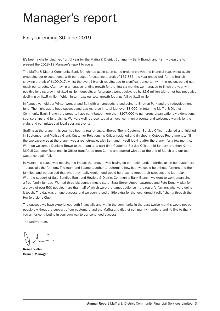# Manager's report

# For year ending 30 June 2019

It's been a challenging, yet fruitful year for the Maffra & District Community Bank Branch and it's my pleasure to present the 2018/19 Manager's report to you all.

The Maffra & District Community Bank Branch has again seen some exciting growth this financial year, whilst again exceeding our expectations. With our budget forecasting a profit of \$67,885, the year ended well for the branch showing a profit of \$100,917, whilst the overall branch results, due to significant uncertainty in the region, we did not reach our targets. After having a negative lending growth for the first six months we managed to finish the year with positive lending growth of \$1.4 million, deposits unfortunately went backwards by \$2.6 million with other business also declining by \$1.5 million. Which in turn saw our total growth footings fall by \$1.8 million.

In August we held our Winter Wonderland Ball with all proceeds raised going to Stretton Park and the redevelopment fund. The night was a huge success and saw us raise in total just over \$8,000. In total, the Maffra & District Community Bank Branch are proud to have contributed more than \$107,000 to numerous organisations via donations, sponsorships and fundraising. We were well represented at all local community events and welcomed warmly by the clubs and committees at local sporting events.

Staffing at the branch this year has been a real struggle; Sheree Thorn, Customer Service Officer resigned and finished in September and Melissa Grant, Customer Relationship Officer resigned and finished in October. Recruitment to fill the two vacancies at the branch was a real struggle, with Sam and myself looking after the branch for a few months. We then welcomed Danielle Brown to the team as a part-time Customer Service Officer mid-January and then Kerrie McColl Customer Relationship Officer transferred from Cairns and started with us at the end of March and our team was once again full.

In March this year, I was noticing the impact the drought was having on our region and, in particular, on our customers – especially the farmers. The team and I came together to determine how best we could help these farmers and their families, and we decided that what they really would need would be a day to forget their stresses and just relax. With the support of Sale Bendigo Bank and Heyfield & District Community Bank Branch, we went to work organising a free family fun day. We had three big country music stars, Sara Storer, Amber Lawrence and Pete Denahy, play for a crowd of over 500 people, more than half of which were the target audience – the region's farmers who were doing it tough. The day was a huge success and we even raised a little extra for the local drought relief charity through the Heyfield Lions Club.

The success we have experienced both financially and within the community in the past twelve months would not be possible without the support of our customers and the Maffra and district community members and I'd like to thank you all for contributing in your own way to our continued success.

The Maffra team,

Renee Vidler Branch Manager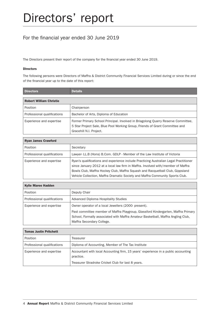# For the financial year ended 30 June 2019

The Directors present their report of the company for the financial year ended 30 June 2019.

#### Directors

The following persons were Directors of Maffra & District Community Financial Services Limited during or since the end of the financial year up to the date of this report:

| <b>Directors</b>               | <b>Details</b>                                                                                                                                                                               |
|--------------------------------|----------------------------------------------------------------------------------------------------------------------------------------------------------------------------------------------|
| <b>Robert William Christie</b> |                                                                                                                                                                                              |
| Position                       | Chairperson                                                                                                                                                                                  |
| Professional qualifications    | Bachelor of Arts, Diploma of Education                                                                                                                                                       |
| Experience and expertise       | Former Primary School Principal. Involved in Briagolong Quarry Reserve Committee.<br>5 Star Project Sale, Blue Pool Working Group, Friends of Grant Committee and<br>Gracehill N.I. Project. |

| <b>Ryan James Crawford</b>  |                                                                                                                                                                                                                                                                                                                                             |
|-----------------------------|---------------------------------------------------------------------------------------------------------------------------------------------------------------------------------------------------------------------------------------------------------------------------------------------------------------------------------------------|
| Position                    | Secretary                                                                                                                                                                                                                                                                                                                                   |
| Professional qualifications | Lawyer- LL.B (Hons) B.Com. GDLP - Member of the Law Institute of Victoria                                                                                                                                                                                                                                                                   |
| Experience and expertise    | Ryan's qualifications and experience include Practicing Australian Legal Practitioner<br>since January 2012 at a local law firm in Maffra. Involved with/member of Maffra<br>Bowls Club, Maffra Hockey Club, Maffra Squash and Racquetball Club, Gippsland<br>Vehicle Collection, Maffra Dramatic Society and Maffra Community Sports Club. |

| <b>Kylie Maree Hadden</b>   |                                                                                                                                           |
|-----------------------------|-------------------------------------------------------------------------------------------------------------------------------------------|
| Position                    | Deputy Chair                                                                                                                              |
| Professional qualifications | Advanced Diploma Hospitality Studies                                                                                                      |
| Experience and expertise    | Owner operator of a local Jewellers (2000- present).<br>Past committee member of Maffra Playgroup, Glassford Kindergarten, Maffra Primary |
|                             | School, Formally associated with Maffra Amateur Basketball, Maffra Angling Club,<br>Maffra Secondary College.                             |

| <b>Tomas Justin Pritchett</b> |                                                                                                                                                       |
|-------------------------------|-------------------------------------------------------------------------------------------------------------------------------------------------------|
| Position                      | Treasurer                                                                                                                                             |
| Professional qualifications   | Diploma of Accounting, Member of The Tax Institute                                                                                                    |
| Experience and expertise      | Accountant with local Accounting firm, 15 years' experience in a public accounting<br>practice.<br>Treasurer Stradroke Cricket Club for last 8 years. |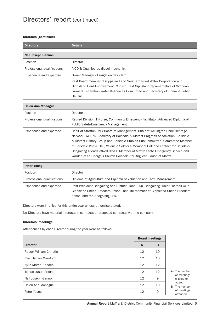#### Directors (continued)

| <b>Directors</b>            | <b>Details</b>                                                                                                                                                                                                                                                                                    |
|-----------------------------|---------------------------------------------------------------------------------------------------------------------------------------------------------------------------------------------------------------------------------------------------------------------------------------------------|
| <b>Neil Joseph Gannon</b>   |                                                                                                                                                                                                                                                                                                   |
| Position                    | Director                                                                                                                                                                                                                                                                                          |
| Professional qualifications | AICD & Qualified as diesel mechanic.                                                                                                                                                                                                                                                              |
| Experience and expertise    | Owner Manager of irrigation dairy farm.<br>Past Board member of Gippsland and Southern Rural Water Corporation and<br>Gippsland Herd Improvement. Current East Gippsland representative of Victorian<br>Farmers Federation Water Resources Committee and Secretary of Tinamba Public<br>Hall Inc. |

| <b>Helen Ann Monague</b>    |                                                                                                                                                                                                                                                                                                                                                                                                                                                                                                     |
|-----------------------------|-----------------------------------------------------------------------------------------------------------------------------------------------------------------------------------------------------------------------------------------------------------------------------------------------------------------------------------------------------------------------------------------------------------------------------------------------------------------------------------------------------|
| Position                    | Director                                                                                                                                                                                                                                                                                                                                                                                                                                                                                            |
| Professional qualifications | Retired Division 1 Nurse, Community Emergency Facilitator, Advanced Diploma of<br><b>Public Safety-Emergency Management</b>                                                                                                                                                                                                                                                                                                                                                                         |
| Experience and expertise    | Chair of Stretton Park Board of Management, Chair of Wellington Shire Heritage<br>Network (WSHN), Secretary of Boisdale & District Progress Association, Boisdale<br>& District History Group and Boisdale Stables Sub-Committee. Committee Member<br>of Boisdale Public Hall, Valencia Soldier's Memorial Hall and contact for Boisdale-<br>Briagolong Friends of Red Cross. Member of Maffra State Emergency Service and<br>Warden of St George's Church Boisdale, for Anglican Parish of Maffra. |

| <b>Peter Young</b>          |                                                                                                                                                                                                       |
|-----------------------------|-------------------------------------------------------------------------------------------------------------------------------------------------------------------------------------------------------|
| Position                    | Director                                                                                                                                                                                              |
| Professional qualifications | Diploma of Agriculture and Diploma of Valuation and Farm Management                                                                                                                                   |
| Experience and expertise    | Past President Briagolong and District Lions Club, Briagolong Junior Football Club,<br>Gippsland Sheep Breeders Assoc., and life member of Gippsland Sheep Breeders<br>Assoc. and the Briagolong CFA. |

Directors were in office for this entire year unless otherwise stated.

No Directors have material interests in contracts or proposed contracts with the company.

#### Directors' meetings

Attendances by each Director during the year were as follows:

|                               |    | <b>Board meetings</b> |  |
|-------------------------------|----|-----------------------|--|
| <b>Director</b>               | A  | B                     |  |
| Robert William Christie       | 12 | 10                    |  |
| Ryan James Crawford           | 12 | 10                    |  |
| Kylie Maree Hadden            | 12 | 12                    |  |
| <b>Tomas Justin Pritchett</b> | 12 | 12                    |  |
| Neil Joseph Gannon            | 12 | 9                     |  |
| Helen Ann Monague             | 12 | 10                    |  |
| Peter Young                   | 12 | 9                     |  |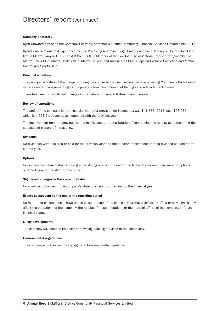#### Company Secretary

Ryan Crawford has been the Company Secretary of Maffra & District Community Financial Services Limited since 2016.

Ryan's qualifications and experience include Practicing Australian Legal Practitioner since January 2012 at a local law firm in Maffra. Lawyer- LL.B (Hons) B.Com. GDLP - Member of the Law Institute of Victoria. Involved with/member of Maffra Bowls Club, Maffra Hockey Club, Maffra Squash and Racquetball Club, Gippsland Vehicle Collection and Maffra Community Sports Club.

#### Principal activities

The principal activities of the company during the course of the financial year were in providing Community Bank branch services under management rights to operate a franchised branch of Bendigo and Adelaide Bank Limited.

There has been no significant changes in the nature of these activities during the year.

#### Review of operations

The profit of the company for the financial year after provision for income tax was \$41,363 (2018 loss: \$26,075), which is a 258.6% decrease as compared with the previous year.

The improvement from the previous year is mainly due to the the Stratford Agent ending the Agency agreement and the subsequent closure of the agency.

#### Dividends

No dividends were declared or paid for the previous year and the directors recommend that no dividend be paid for the current year.

#### **Options**

No options over issued shares were granted during or since the end of the financial year and there were no options outstanding as at the date of this report.

#### Significant changes in the state of affairs

No significant changes in the company's state of affairs occurred during the financial year.

#### Events subsequent to the end of the reporting period

No matters or circumstances have arisen since the end of the financial year that significantly affect or may significantly affect the operations of the company, the results of those operations or the state of affairs of the company, in future financial years.

#### Likely developments

The company will continue its policy of providing banking services to the community.

#### Environmental regulations

The company is not subject to any significant environmental regulation.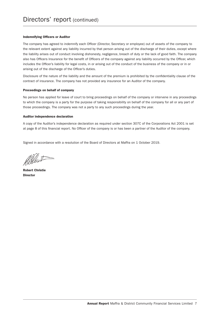#### Indemnifying Officers or Auditor

The company has agreed to indemnify each Officer (Director, Secretary or employee) out of assets of the company to the relevant extent against any liability incurred by that person arising out of the discharge of their duties, except where the liability arises out of conduct involving dishonesty, negligence, breach of duty or the lack of good faith. The company also has Officers Insurance for the benefit of Officers of the company against any liability occurred by the Officer, which includes the Officer's liability for legal costs, in or arising out of the conduct of the business of the company or in or arising out of the discharge of the Officer's duties.

Disclosure of the nature of the liability and the amount of the premium is prohibited by the confidentiality clause of the contract of insurance. The company has not provided any insurance for an Auditor of the company.

#### Proceedings on behalf of company

No person has applied for leave of court to bring proceedings on behalf of the company or intervene in any proceedings to which the company is a party for the purpose of taking responsibility on behalf of the company for all or any part of those proceedings. The company was not a party to any such proceedings during the year.

#### Auditor independence declaration

A copy of the Auditor's independence declaration as required under section 307C of the Corporations Act 2001 is set at page 8 of this financial report. No Officer of the company is or has been a partner of the Auditor of the company.

Signed in accordance with a resolution of the Board of Directors at Maffra on 1 October 2019.

Allent-

Robert Christie **Director**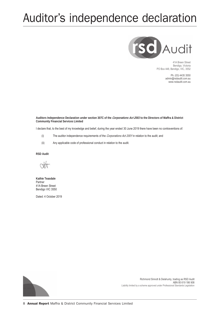# Auditor's independence declaration



41A Breen Street Bendigo, Victoria PO Box 448, Bendigo, VIC, 3552

> Ph: (03) 4435 3550 admin@rsdaudit.com.au www.rsdaudit.com.au

**Auditors Independence Declaration under section 307C of the** *Corporations Act 2001* **to the Directors of Maffra & District Community Financial Services Limited**

I declare that, to the best of my knowledge and belief, during the year ended 30 June 2019 there have been no contraventions of:

- (i) The auditor independence requirements of the *Corporations Act 2001* in relation to the audit; and
- (ii) Any applicable code of professional conduct in relation to the audit.

**RSD Audit**

 $\forall t$ 

**Kathie Teasdale** Partner 41A Breen Street Bendigo VIC 3550

Dated: 4 October 2019



Richmond Sinnott & Delahunty, trading as RSD Audit ABN 85 619 186 908 Liability limited by a scheme approved under Professional Standards Legislation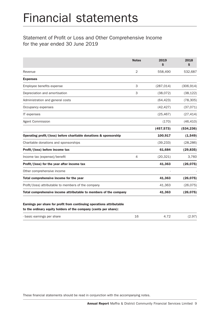# Financial statements

# Statement of Profit or Loss and Other Comprehensive Income for the year ended 30 June 2019

|                                                                   | <b>Notes</b>   | 2019<br>\$ | 2018<br>\$ |
|-------------------------------------------------------------------|----------------|------------|------------|
| Revenue                                                           | $\overline{2}$ | 558,490    | 532,687    |
| <b>Expenses</b>                                                   |                |            |            |
| Employee benefits expense                                         | 3              | (287, 014) | (306, 914) |
| Depreciation and amortisation                                     | 3              | (38,072)   | (38, 122)  |
| Administration and general costs                                  |                | (64, 423)  | (78, 305)  |
| Occupancy expenses                                                |                | (42, 427)  | (37,071)   |
| IT expenses                                                       |                | (25, 467)  | (27, 414)  |
| Agent Commission                                                  |                | (170)      | (46, 410)  |
|                                                                   |                | (457, 573) | (534, 236) |
| Operating profit/(loss) before charitable donations & sponsorship |                | 100,917    | (1, 549)   |
| Charitable donations and sponsorships                             |                | (39, 233)  | (28, 286)  |
| Profit/(loss) before income tax                                   |                | 61,684     | (29, 835)  |
| Income tax (expense)/benefit                                      | $\overline{4}$ | (20, 321)  | 3,760      |
| Profit/(loss) for the year after income tax                       |                | 41,363     | (26, 075)  |
| Other comprehensive income                                        |                |            |            |
| Total comprehensive income for the year                           |                | 41,363     | (26, 075)  |
| Profit/(loss) attributable to members of the company              |                | 41,363     | (26, 075)  |
| Total comprehensive income attributable to members of the company |                | 41,363     | (26, 075)  |

to the ordinary equity holders of the company (cents per share):

| - basic earnings per share |  | (2.97) |
|----------------------------|--|--------|
|                            |  |        |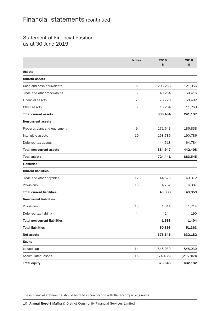# Statement of Financial Position as at 30 June 2019

|                                      | <b>Notes</b> | 2019<br>\$ | 2018<br>\$ |
|--------------------------------------|--------------|------------|------------|
| <b>Assets</b>                        |              |            |            |
| <b>Current assets</b>                |              |            |            |
| Cash and cash equivalents            | 5            | 203,256    | 121,056    |
| Trade and other receivables          | 6            | 49,254     | 50,416     |
| <b>Financial assets</b>              | 7            | 76,720     | 58,402     |
| Other assets                         | 8            | 10,264     | 11,263     |
| <b>Total current assets</b>          |              | 339,494    | 241,137    |
| <b>Non-current assets</b>            |              |            |            |
| Property, plant and equipment        | $\mathsf 9$  | 171,643    | 186,838    |
| Intangible assets                    | 10           | 168,786    | 190,786    |
| Deferred tax assets                  | 4            | 44,518     | 64,784     |
| <b>Total non-current assets</b>      |              | 384,947    | 442,408    |
| <b>Total assets</b>                  |              | 724,441    | 683,545    |
| <b>Liabilities</b>                   |              |            |            |
| <b>Current liabilities</b>           |              |            |            |
| Trade and other payables             | 12           | 44,576     | 43,072     |
| Provisions                           | 13           | 4,762      | 6,887      |
| <b>Total current liabilities</b>     |              | 49,338     | 49,959     |
| <b>Non-current liabilities</b>       |              |            |            |
| Provisions                           | 13           | 1,314      | 1,214      |
| Deferred tax liability               | 4            | 244        | 190        |
| <b>Total non-current liabilities</b> |              | 1,558      | 1,404      |
| <b>Total liabilities</b>             |              | 50,896     | 51,363     |
| <b>Net assets</b>                    |              | 673,545    | 632,182    |
| <b>Equity</b>                        |              |            |            |
| Issued capital                       | 14           | 848,030    | 848,030    |
| <b>Accumulated losses</b>            | 15           | (174, 485) | (215, 848) |
| <b>Total equity</b>                  |              | 673,545    | 632,182    |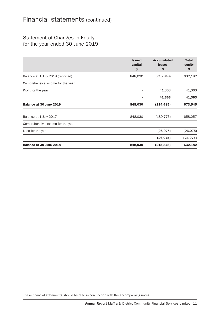# Statement of Changes in Equity for the year ended 30 June 2019

|                                   | <b>Issued</b><br>capital<br>\$ | <b>Accumulated</b><br><b>losses</b><br>\$ | <b>Total</b><br>equity<br>\$ |
|-----------------------------------|--------------------------------|-------------------------------------------|------------------------------|
| Balance at 1 July 2018 (reported) | 848,030                        | (215, 848)                                | 632,182                      |
| Comprehensive income for the year |                                |                                           |                              |
| Profit for the year               |                                | 41,363                                    | 41,363                       |
|                                   |                                | 41,363                                    | 41,363                       |
| Balance at 30 June 2019           | 848,030                        | (174, 485)                                | 673,545                      |
| Balance at 1 July 2017            | 848,030                        | (189, 773)                                | 658,257                      |
| Comprehensive income for the year |                                |                                           |                              |
| Loss for the year                 |                                | (26, 075)                                 | (26, 075)                    |
|                                   |                                | (26, 075)                                 | (26, 075)                    |
| Balance at 30 June 2018           | 848,030                        | (215, 848)                                | 632,182                      |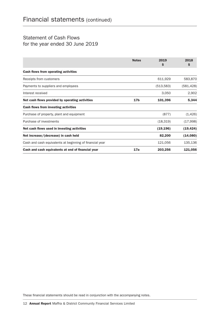# Statement of Cash Flows for the year ended 30 June 2019

|                                                          | <b>Notes</b>    | 2019<br>S  | 2018<br>\$ |
|----------------------------------------------------------|-----------------|------------|------------|
| Cash flows from operating activities                     |                 |            |            |
| Receipts from customers                                  |                 | 611,929    | 583,870    |
| Payments to suppliers and employees                      |                 | (513, 583) | (581, 428) |
| Interest received                                        |                 | 3,050      | 2,902      |
| Net cash flows provided by operating activities          | 17 <sub>b</sub> | 101,396    | 5,344      |
| <b>Cash flows from investing activities</b>              |                 |            |            |
| Purchase of property, plant and equipment                |                 | (877)      | (1, 426)   |
| Purchase of investments                                  |                 | (18, 319)  | (17,998)   |
| Net cash flows used in investing activities              |                 | (19, 196)  | (19, 424)  |
| Net increase/(decrease) in cash held                     |                 | 82,200     | (14,080)   |
| Cash and cash equivalents at beginning of financial year |                 | 121,056    | 135,136    |
| Cash and cash equivalents at end of financial year       | 17a             | 203,256    | 121,056    |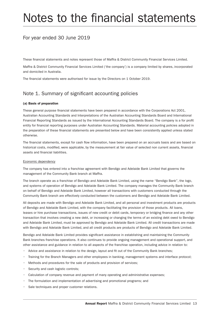# Notes to the financial statements

# For year ended 30 June 2019

These financial statements and notes represent those of Maffra & District Community Financial Services Limited.

Maffra & District Community Financial Services Limited ('the company') is a company limited by shares, incorporated and domiciled in Australia.

The financial statements were authorised for issue by the Directors on 1 October 2019.

# Note 1. Summary of significant accounting policies

#### (a) Basis of preparation

These general purpose financial statements have been prepared in accordance with the Corporations Act 2001, Australian Accounting Standards and Interpretations of the Australian Accounting Standards Board and International Financial Reporting Standards as issued by the International Accounting Standards Board. The company is a for profit entity for financial reporting purposes under Australian Accounting Standards. Material accounting policies adopted in the preparation of these financial statements are presented below and have been consistently applied unless stated otherwise.

The financial statements, except for cash flow information, have been prepared on an accruals basis and are based on historical costs, modified, were applicable, by the measurement at fair value of selected non current assets, financial assets and financial liabilities.

#### Economic dependency

The company has entered into a franchise agreement with Bendigo and Adelaide Bank Limited that governs the management of the Community Bank branch at Maffra.

The branch operate as a franchise of Bendigo and Adelaide Bank Limited, using the name "Bendigo Bank", the logo, and systems of operation of Bendigo and Adelaide Bank Limited. The company manages the Community Bank branch on behalf of Bendigo and Adelaide Bank Limited, however all transactions with customers conducted through the Community Bank branch are effectively conducted between the customers and Bendigo and Adelaide Bank Limited.

All deposits are made with Bendigo and Adelaide Bank Limited, and all personal and investment products are products of Bendigo and Adelaide Bank Limited, with the company facilitating the provision of those products. All loans, leases or hire purchase transactions, issues of new credit or debit cards, temporary or bridging finance and any other transaction that involves creating a new debt, or increasing or changing the terms of an existing debt owed to Bendigo and Adelaide Bank Limited, must be approved by Bendigo and Adelaide Bank Limited. All credit transactions are made with Bendigo and Adelaide Bank Limited, and all credit products are products of Bendigo and Adelaide Bank Limited.

Bendigo and Adelaide Bank Limited provides significant assistance in establishing and maintaining the Community Bank branches franchise operations. It also continues to provide ongoing management and operational support, and other assistance and guidance in relation to all aspects of the franchise operation, including advice in relation to:

- Advice and assistance in relation to the design, layout and fit out of the Community Bank branches;
- Training for the Branch Managers and other employees in banking, management systems and interface protocol;
- Methods and procedures for the sale of products and provision of services;
- Security and cash logistic controls;
- Calculation of company revenue and payment of many operating and administrative expenses;
- The formulation and implementation of advertising and promotional programs; and
- Sale techniques and proper customer relations.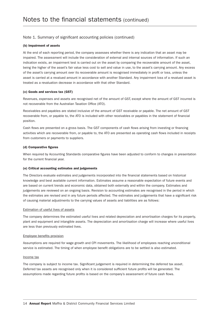#### (b) Impairment of assets

At the end of each reporting period, the company assesses whether there is any indication that an asset may be impaired. The assessment will include the consideration of external and internal sources of information. If such an indication exists, an impairment test is carried out on the asset by comparing the recoverable amount of the asset, being the higher of the asset's fair value less cost to sell and value in use, to the asset's carrying amount. Any excess of the asset's carrying amount over its recoverable amount is recognised immediately in profit or loss, unless the asset is carried at a revalued amount in accordance with another Standard. Any impairment loss of a revalued asset is treated as a revaluation decrease in accordance with that other Standard.

#### (c) Goods and services tax (GST)

Revenues, expenses and assets are recognised net of the amount of GST, except where the amount of GST incurred is not recoverable from the Australian Taxation Office (ATO).

Receivables and payables are stated inclusive of the amount of GST receivable or payable. The net amount of GST recoverable from, or payable to, the ATO is included with other receivables or payables in the statement of financial position.

Cash flows are presented on a gross basis. The GST components of cash flows arising from investing or financing activities which are recoverable from, or payable to, the ATO are presented as operating cash flows included in receipts from customers or payments to suppliers.

#### (d) Comparative figures

When required by Accounting Standards comparative figures have been adjusted to conform to changes in presentation for the current financial year.

#### (e) Critical accounting estimates and judgements

The Directors evaluate estimates and judgements incorporated into the financial statements based on historical knowledge and best available current information. Estimates assume a reasonable expectation of future events and are based on current trends and economic data, obtained both externally and within the company. Estimates and judgements are reviewed on an ongoing basis. Revision to accounting estimates are recognised in the period in which the estimates are revised and in any future periods affected. The estimates and judgements that have a significant risk of causing material adjustments to the carrying values of assets and liabilities are as follows:

#### Estimation of useful lives of assets

The company determines the estimated useful lives and related depreciation and amortisation charges for its property, plant and equipment and intangible assets. The depreciation and amortisation charge will increase where useful lives are less than previously estimated lives.

#### Employee benefits provision

Assumptions are required for wage growth and CPI movements. The likelihood of employees reaching unconditional service is estimated. The timing of when employee benefit obligations are to be settled is also estimated.

#### Income tax

The company is subject to income tax. Significant judgement is required in determining the deferred tax asset. Deferred tax assets are recognised only when it is considered sufficient future profits will be generated. The assumptions made regarding future profits is based on the company's assessment of future cash flows.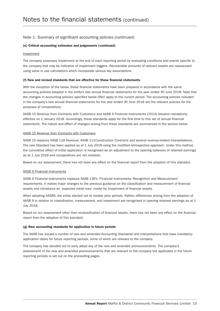#### (e) Critical accounting estimates and judgements (continued)

#### Impairment

The company assesses impairment at the end of each reporting period by evaluating conditions and events specific to the company that may be indicative of impairment triggers. Recoverable amounts of relevant assets are reassessed using value in use calculations which incorporate various key assumptions.

#### (f) New and revised standards that are effective for these financial statements

With the exception of the below, these financial statements have been prepared in accordance with the same accounting policies adopted in the entity's last annual financial statements for the year ended 30 June 2018. Note that the changes in accounting policies specified below ONLY apply to the current period. The accounting policies included in the company's last annual financial statements for the year ended 30 June 2018 are the relevant policies for the purposes of comparatives.

AASB 15 Revenue from Contracts with Customers and AASB 9 Financial Instruments (2014) became mandatorily effective on 1 January 2018. Accordingly, these standards apply for the first time to this set of annual financial statements. The nature and effect of changes arising from these standards are summarised in the section below.

#### AASB 15 Revenue from Contracts with Customers

AASB 15 replaces AASB 118 Revenue, AASB 111Construction Contracts and several revenue-related interpretations. The new Standard has been applied as at 1 July 2018 using the modified retrospective approach. Under this method, the cumulative effect of initial application is recognised as an adjustment to the opening balances of retained earnings as at 1 July 2018 and comparatives are not restated.

Based on our assessment, there has not been any effect on the financial report from the adoption of this standard.

#### AASB 9 Financial Instruments

AASB 9 Financial Instruments replaces AASB 139's 'Financial Instruments: Recognition and Measurement' requirements. It makes major changes to the previous guidance on the classification and measurement of financial assets and introduces an 'expected credit loss' model for impairment of financial assets.

When adopting AASB9, the entity elected not to restate prior periods. Rather, differences arising from the adoption of AASB 9 in relation to classification, measurement, and impairment are recognised in opening retained earnings as at 1 July 2018.

Based on our assessment other than reclassification of financial assets, there has not been any effect on the financial report from the adoption of this standard.

#### (g) New accounting standards for application in future periods

The AASB has issued a number of new and amended Accounting Standards and Interpretations that have mandatory application dates for future reporting periods, some of which are relevant to the company.

The company has decided not to early adopt any of the new and amended pronouncements. The company's assessment of the new and amended pronouncements that are relevant to the company but applicable in the future reporting periods is set out on the proceeding pages.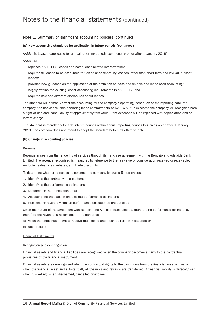#### (g) New accounting standards for application in future periods (continued)

AASB 16: Leases (applicable for annual reporting periods commencing on or after 1 January 2019)

#### AASB 16:

- replaces AASB 117 Leases and some lease-related Interpretations;
- requires all leases to be accounted for 'on-balance sheet' by lessees, other than short-term and low value asset leases;
- provides new guidance on the application of the definition of lease and on sale and lease back accounting;
- largely retains the existing lessor accounting requirements in AASB 117; and
- requires new and different disclosures about leases.

The standard will primarily affect the accounting for the company's operating leases. As at the reporting date, the company has non-cancellable operating lease commitments of \$21,875. It is expected the company will recognise both a right of use and lease liability of approximately this value. Rent expenses will be replaced with depreciation and an intrest charge.

The standard is mandatory for first interim periods within annual reporting periods beginning on or after 1 January 2019. The company does not intend to adopt the standard before its effective date.

#### (h) Change in accounting policies

#### Revenue

Revenue arises from the rendering of services through its franchise agreement with the Bendigo and Adelaide Bank Limited. The revenue recognised is measured by reference to the fair value of consideration received or receivable, excluding sales taxes, rebates, and trade discounts.

To determine whether to recognise revenue, the company follows a 5-step process:

- 1. Identifying the contract with a customer
- 2. Identifying the performance obligations
- 3. Determining the transaction price
- 4. Allocating the transaction price to the performance obligations
- 5. Recognising revenue when/as performance obligation(s) are satisfied

Given the nature of the agreement with Bendigo and Adelaide Bank Limited, there are no performance obligations, therefore the revenue is recognised at the earlier of:

- a) when the entity has a right to receive the income and it can be reliably measured; or
- b) upon receipt.

#### Financial Instruments

#### Recognition and derecognition

Financial assets and financial liabilities are recognised when the company becomes a party to the contractual provisions of the financial instrument.

Financial assets are derecognised when the contractual rights to the cash flows from the financial asset expire, or when the financial asset and substantially all the risks and rewards are transferred. A financial liability is derecognised when it is extinguished, discharged, cancelled or expires.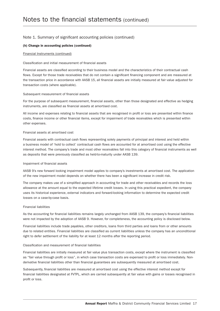#### (h) Change in accounting policies (continued)

#### Financial Instruments (continued)

#### Classification and initial measurement of financial assets

Financial assets are classified according to their business model and the characteristics of their contractual cash flows. Except for those trade receivables that do not contain a significant financing component and are measured at the transaction price in accordance with AASB 15, all financial assets are initially measured at fair value adjusted for transaction costs (where applicable).

#### Subsequent measurement of financial assets

For the purpose of subsequent measurement, financial assets, other than those designated and effective as hedging instruments, are classified as financial assets at amortised cost.

All income and expenses relating to financial assets that are recognised in profit or loss are presented within finance costs, finance income or other financial items, except for impairment of trade receivables which is presented within other expenses.

#### Financial assets at amortised cost

Financial assets with contractual cash flows representing solely payments of principal and interest and held within a business model of 'hold to collect' contractual cash flows are accounted for at amortised cost using the effective interest method. The company's trade and most other receivables fall into this category of financial instruments as well as deposits that were previously classified as held-to-maturity under AASB 139.

#### Impairment of financial assets

AASB 9's new forward looking impairment model applies to company's investments at amortised cost. The application of the new impairment model depends on whether there has been a significant increase in credit risk.

The company makes use of a simplified approach in accounting for trade and other receivables and records the loss allowance at the amount equal to the expected lifetime credit losses. In using this practical expedient, the company uses its historical experience, external indicators and forward-looking information to determine the expected credit losses on a case-by-case basis.

#### Financial liabilities

As the accounting for financial liabilities remains largely unchanged from AASB 139, the company's financial liabilities were not impacted by the adoption of AASB 9. However, for completeness, the accounting policy is disclosed below.

Financial liabilities include trade payables, other creditors, loans from third parties and loans from or other amounts due to related entities. Financial liabilities are classified as current liabilities unless the company has an unconditional right to defer settlement of the liability for at least 12 months after the reporting period.

#### Classification and measurement of financial liabilities

Financial liabilities are initially measured at fair value plus transaction costs, except where the instrument is classified as "fair value through profit or loss", in which case transaction costs are expensed to profit or loss immediately. Nonderivative financial liabilities other than financial guarantees are subsequently measured at amortised cost.

Subsequently, financial liabilities are measured at amortised cost using the effective interest method except for financial liabilities designated at FVTPL, which are carried subsequently at fair value with gains or losses recognised in profit or loss.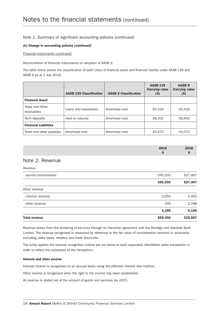#### (h) Change in accounting policies (continued)

#### Financial Instruments (continued)

Reconciliation of financial instruments on adoption of AASB 9

The table below shows the classification of each class of financial asset and financial liability under AASB 139 and AASB 9 as at 1 July 2018:

|                                | <b>AASB 139 Classification</b> | <b>AASB 9 Classification</b> | <b>AASB 139</b><br><b>Carrying value</b><br>$(\$)$ | AASB <sub>9</sub><br><b>Carrying value</b><br>$(\$)$ |
|--------------------------------|--------------------------------|------------------------------|----------------------------------------------------|------------------------------------------------------|
| <b>Financial Asset</b>         |                                |                              |                                                    |                                                      |
| Trade and Other<br>receivables | Loans and receivables          | Amortised cost               | 50,416                                             | 50,416                                               |
| Term deposits                  | Held to maturity               | Amortised cost               | 58,402                                             | 58,402                                               |
| <b>Financial Liabilities</b>   |                                |                              |                                                    |                                                      |
| Trade and other payables       | Amortised cost                 | Amortised cost               | 43,072                                             | 43,072                                               |

| 2019 | 2018 |
|------|------|
|      |      |

### Note 2. Revenue

| <b>Total revenue</b>  | 558,490 | 532,687 |
|-----------------------|---------|---------|
|                       | 3,290   | 5,190   |
| - other revenue       | 240     | 2,288   |
| - interest received   | 3,050   | 2,902   |
| Other revenue         |         |         |
|                       | 555,200 | 527,497 |
| - service commissions | 555,200 | 527,497 |
| Revenue               |         |         |

Revenue arises from the rendering of services through its franchise agreement with the Bendigo and Adelaide Bank Limited. The revenue recognised is measured by reference to the fair value of consideration received or receivable, excluding sales taxes, rebates, and trade discounts.

The entity applies the revenue recognition criteria set out below to each separately identifiable sales transaction in order to reflect the substance of the transaction.

#### Interest and other income

Interest income is recognised on an accrual basis using the effective interest rate method.

Other income is recognised when the right to the income has been established.

All revenue is stated net of the amount of goods and services tax (GST).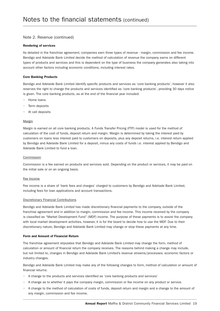#### Note 2. Revenue (continued)

#### Rendering of services

As detailed in the franchise agreement, companies earn three types of revenue - margin, commission and fee income. Bendigo and Adelaide Bank Limited decide the method of calculation of revenue the company earns on different types of products and services and this is dependent on the type of business the company generates also taking into account other factors including economic conditions, including interest rates.

#### Core Banking Products

Bendigo and Adelaide Bank Limited identify specific products and services as 'core banking products', however it also reserves the right to change the products and services identified as 'core banking products', providing 30 days notice is given. The core banking products, as at the end of the financial year included:

- Home loans
- Term deposits
- At call deposits

#### Margin

Margin is earned on all core banking products. A Funds Transfer Pricing (FTP) model is used for the method of calculation of the cost of funds, deposit return and margin. Margin is determined by taking the interest paid by customers on loans less interest paid to customers on deposits, plus any deposit returns, i.e. interest return applied by Bendigo and Adelaide Bank Limited for a deposit, minus any costs of funds i.e. interest applied by Bendigo and Adelaide Bank Limited to fund a loan.

#### Commission

Commission is a fee earned on products and services sold. Depending on the product or services, it may be paid on the initial sale or on an ongoing basis.

#### Fee Income

Fee income is a share of 'bank fees and charges' charged to customers by Bendigo and Adeliade Bank Limited, including fees for loan applications and account transactions.

#### Discretionary Financial Contributions

Bendigo and Adelaide Bank Limited has made discretionary financial payments to the company, outside of the franchise agreement and in addition to margin, commission and fee income. This income received by the company is classified as "Market Development Fund" (MDF) income. The purpose of these payments is to assist the company with local market development activities, however, it is for the board to decide how to use the MDF. Due to their discretionary nature, Bendigo and Adelaide Bank Limited may change or stop these payments at any time.

#### Form and Amount of Financial Return

The franchise agreement stipulates that Bendigo and Adelaide Bank Limited may change the form, method of calculation or amount of financial return the company receives. The reasons behind making a change may include, but not limited to, changes in Bendigo and Adelaide Bank Limited's revenue streams/processes; economic factors or industry changes.

Bendigo and Adelaide Bank Limited may make any of the following changes to form, method of calculation or amount of financial returns:

- A change to the products and services identified as 'core banking products and services'
- A change as to whether it pays the company margin, commission or fee income on any product or service.
- A change to the method of calculation of costs of funds, deposit return and margin and a change to the amount of any margin, commission and fee income.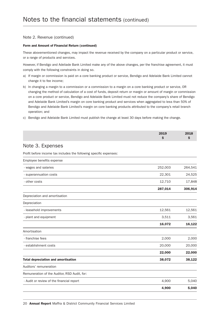#### Note 2. Revenue (continued)

#### Form and Amount of Financial Return (continued)

These abovementioned changes, may impact the revenue received by the company on a particular product or service, or a range of products and services.

However, if Bendigo and Adeliade Bank Limited make any of the above changes, per the franchise agreement, it must comply with the following constraints in doing so.

- a) If margin or commission is paid on a core banking product or service, Bendigo and Adelaide Bank Limited cannot change it to fee income;
- b) In changing a margin to a commission or a commission to a margin on a core banking product or service, OR changing the method of calculation of a cost of funds, deposit return or margin or amount of margin or commission on a core product or service, Bendigo and Adelaide Bank Limited must not reduce the company's share of Bendigo and Adelaide Bank Limited's margin on core banking product and services when aggregated to less than 50% of Bendigo and Adelaide Bank Limited's margin on core banking products attributed to the company's retail branch operation; and
- c) Bendigo and Adelaide Bank Limited must publish the change at least 30 days before making the change.

|                                                                    | 2019<br>\$ | 2018<br>\$ |
|--------------------------------------------------------------------|------------|------------|
| Note 3. Expenses                                                   |            |            |
| Profit before income tax includes the following specific expenses: |            |            |
| Employee benefits expense                                          |            |            |
| - wages and salaries                                               | 252,003    | 264,541    |
| - superannuation costs                                             | 22,301     | 24,525     |
| - other costs                                                      | 12,710     | 17,848     |
|                                                                    | 287,014    | 306,914    |
| Depreciation and amortisation                                      |            |            |
| Depreciation                                                       |            |            |
| - leasehold improvements                                           | 12,561     | 12,561     |
| - plant and equipment                                              | 3,511      | 3,561      |
|                                                                    | 16,072     | 16,122     |
| Amortisation                                                       |            |            |
| - franchise fees                                                   | 2,000      | 2,000      |
| - establishment costs                                              | 20,000     | 20,000     |
|                                                                    | 22,000     | 22,000     |
| <b>Total depreciation and amortisation</b>                         | 38,072     | 38,122     |
| Auditors' remuneration                                             |            |            |
| Remuneration of the Auditor, RSD Audit, for:                       |            |            |
| - Audit or review of the financial report                          | 4,900      | 5,040      |
|                                                                    | 4,900      | 5,040      |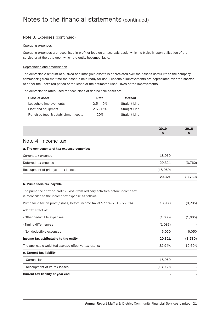#### Note 3. Expenses (continued)

#### Operating expenses

Operating expenses are recognised in profit or loss on an accruals basis, which is typically upon utilisation of the service or at the date upon which the entity becomes liable.

#### Depreciation and amortisation

The depreciable amount of all fixed and intangible assets is depreciated over the asset's useful life to the company commencing from the time the asset is held ready for use. Leasehold improvements are depreciated over the shorter of either the unexpired period of the lease or the estimated useful lives of the improvements.

The depreciation rates used for each class of depreciable asset are:

| <b>Class of asset</b>                | Rate        | <b>Method</b> |
|--------------------------------------|-------------|---------------|
| Leasehold improvements               | $2.5 - 40%$ | Straight Line |
| Plant and equipment                  | $2.5 - 15%$ | Straight Line |
| Franchise fees & establishment costs | 20%         | Straight Line |

| 2019 | 2018 |
|------|------|
|      |      |
|      |      |

# Note 4. Income tax

#### a. The components of tax expense comprise:

|                                     | 20,321   | (3,760) |
|-------------------------------------|----------|---------|
| Recoupment of prior year tax losses | (18,969) |         |
| Deferred tax expense                | 20.321   | (3,760) |
| Current tax expense                 | 18.969   |         |

#### b. Prima facie tax payable

The prima facie tax on profit  $/$  (loss) from ordinary activities before income tax is reconciled to the income tax expense as follows:

| Prima facie tax on profit / (loss) before income tax at 27.5% (2018: 27.5%) | 16,963    | (8, 205)  |
|-----------------------------------------------------------------------------|-----------|-----------|
| Add tax effect of:                                                          |           |           |
| - Other deductible expenses                                                 | (1,605)   | (1,605)   |
| - Timing differnences                                                       | (1,087)   |           |
| - Non-deductible expenses                                                   | 6,050     | 6,050     |
| Income tax attributable to the entity                                       | 20,321    | (3,760)   |
| The applicable weighted average effective tax rate is:                      | $-32.94%$ | $-12.60%$ |
| c. Current tax liability                                                    |           |           |
| Current Tax                                                                 | 18,969    |           |
| Recoupment of PY tax losses                                                 | (18,969)  |           |
| Current tax liability at year end                                           |           |           |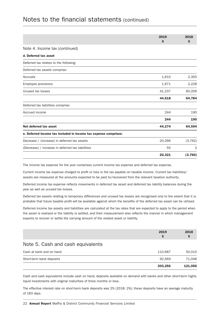# Notes to the financial statements (continued)

|                                                                  | 2019<br>\$ | 2018<br>\$ |
|------------------------------------------------------------------|------------|------------|
| Note 4. Income tax (continued)                                   |            |            |
| d. Deferred tax asset                                            |            |            |
| Deferred tax relates to the following:                           |            |            |
| Deferred tax assets comprise:                                    |            |            |
| Accruals                                                         | 1,610      | 2,350      |
| Employee provisions                                              | 1,671      | 2,228      |
| Unused tax losses                                                | 41,237     | 60,206     |
|                                                                  | 44,518     | 64,784     |
| Deferred tax liabilities comprise:                               |            |            |
| Accrued income                                                   | 244        | 190        |
|                                                                  | 244        | 190        |
| Net deferred tax asset                                           | 44,274     | 64,594     |
| e. Deferred income tax included in income tax expense comprises: |            |            |
| Decrease / (increase) in deferred tax assets                     | 20,266     | (3, 762)   |
| (Decrease) / increase in deferred tax liabilities                | 55         | 2          |
|                                                                  | 20,321     | (3,760)    |

The income tax expense for the year comprises current income tax expense and deferred tax expense.

Current income tax expense charged to profit or loss is the tax payable on taxable income. Current tax liabilities/ assets are measured at the amounts expected to be paid to/recovered from the relevant taxation authority.

Deferred income tax expense reflects movements in deferred tax asset and deferred tax liability balances during the year as well as unused tax losses.

Deferred tax assets relating to temporary differences and unused tax losses are recognised only to the extent that it is probable that future taxable profit will be available against which the benefits of the deferred tax asset can be utilised.

Deferred income tax assets and liabilities are calculated at the tax rates that are expected to apply to the period when the asset is realised or the liability is settled, and their measurement also reflects the manner in which management expects to recover or settle the carrying amount of the related asset or liability.

|                                   | 203,256   | 121,056 |
|-----------------------------------|-----------|---------|
| Short-term bank deposits          | 92.569    | 71,046  |
| Cash at bank and on hand          | 110,687   | 50,010  |
| Note 5. Cash and cash equivalents |           |         |
|                                   | 2019<br>S | 2018    |
|                                   |           |         |

Cash and cash equivalents include cash on hand, deposits available on demand with banks and other short-term highly liquid investments with original maturities of three months or less.

The effective interest rate on short-term bank deposits was 2% (2018: 2%); these deposits have an average maturity of 183 days.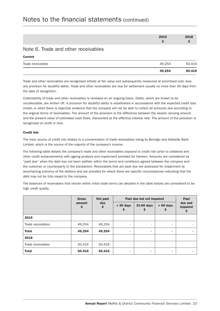| 2019 | 2018 |
|------|------|
|      |      |

### Note 6. Trade and other receivables

|                   | 49,254 | 50,416 |
|-------------------|--------|--------|
| Trade receivables | 49.254 | 50,416 |
| ---------         |        |        |

Trade and other receivables are recognised initially at fair value and subsequently measured at amortised cost, less any provision for doubtful debts. Trade and other receivables are due for settlement usually no more than 30 days from the date of recognition.

Collectability of trade and other receivables is reviewed on an ongoing basis. Debts, which are known to be uncollectable, are written off. A provision for doubtful debts is established in accoradance with the expected credit loss model, or when there is objective evidence that the company will not be able to collect all amounts due according to the original terms of receivables. The amount of the provision is the difference between the assets carrying amount and the present value of estimated cash flows, discounted at the effective interest rate. The amount of the provision is recognised on profit or loss.

#### Credit risk

Current

The main source of credit risk relates to a concentration of trade receivables owing by Bendigo and Adelaide Bank Limited, which is the source of the majority of the company's income.

The following table details the company's trade and other receivables exposed to credit risk (prior to collateral and other credit enhancements) with ageing analysis and impairment provided for thereon. Amounts are considered as "past due" when the debt has not been settled, within the terms and conditions agreed between the company and the customer or counterparty to the transaction. Receivables that are past due are assessed for impairment by ascertaining solvency of the debtors and are provided for where there are specific circumstances indicating that the debt may not be fully repaid to the company.

The balances of receivables that remain within initial trade terms (as detailed in the table below) are considered to be high credit quality.

|                   | <b>Gross</b> | Not past  |                          | Past due but not impaired |             | Past                      |
|-------------------|--------------|-----------|--------------------------|---------------------------|-------------|---------------------------|
|                   | amount<br>\$ | due<br>\$ | $<$ 30 days<br>S         | 31-60 days<br>S           | $> 60$ days | due and<br>impaired<br>\$ |
| 2019              |              |           |                          |                           |             |                           |
| Trade receivables | 49,254       | 49,254    | $\overline{\phantom{a}}$ | $\overline{\phantom{a}}$  | $\sim$      |                           |
| <b>Total</b>      | 49,254       | 49,254    | $\overline{\phantom{a}}$ | ۰                         | ٠           |                           |
| 2018              |              |           |                          |                           |             |                           |
| Trade receivables | 50,416       | 50,416    | $\overline{\phantom{a}}$ | $\sim$                    | ٠           |                           |
| <b>Total</b>      | 50,416       | 50,416    | ٠                        | ٠                         | ٠           |                           |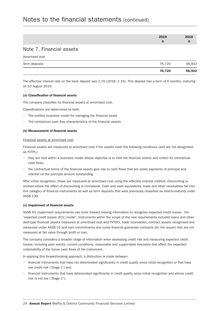# Notes to the financial statements (continued)

| 2019 | 2018 |
|------|------|
|      |      |

### Note 7. Financial assets

Amortised cost

|               | 76.720 | 58,402 |
|---------------|--------|--------|
| Term deposits | 76.720 | 58,402 |

The effective interest rate on the bank deposit was 2.1% (2018: 2.1%). This deposit has a term of 6 months, maturing on 10 August 2019.

#### (a) Classification of financial assets

The company classifies its financial assets at amortised cost.

Classifications are determined by both:

- The entities business model for managing the financial asset
- The contractual cash flow characteristics of the financial assets.

#### (b) Measurement of financial assets

#### Financial assets at amortised cost

Financial assets are measured at amortised cost if the assets meet the following conditions (and are not designated as FVTPL):

- they are held within a business model whose objective is to hold the financial assets and collect its contractual cash flows
- the contractual terms of the financial assets give rise to cash flows that are solely payments of principal and interest on the principal amount outstanding

After initial recognition, these are measured at amortised cost using the effective interest method. Discounting is omitted where the effect of discounting is immaterial. Cash and cash equivalents, trade and other receivables fall into this category of financial instruments as well as term deposits that were previously classified as held-to-maturity under AASB 139.

#### (c) Impairment of financial assets

AASB 9's impairment requirements use more forward looking information to recognise expected credit losses - the 'expected credit losses (ECL) model'. Instruments within the scope of the new requirements included loans and other debt-type financial assets measured at amortised cost and FVTOCI, trade receivables, contract assets recognised and measured under AASB 15 and loan commitments and some financial guarantee contracts (for the issuer) that are not measured at fair value through profit or loss.

The company considers a broader range of information when assessing credit risk and measuring expected credit losses, including past events, current conditions, reasonable and supportable forecasts that affect the expected collectability of the future cash flows of the instrument.

In applying this forward-looking approach, a distinction is made between:

- financial instruments that have not deteriorated significantly in credit quality since initial recognition or that have low credit risk ('Stage 1') and
- financial instruments that have deteriorated significantly in credit quality since initial recognition and whose credit risk is not low ('Stage 2').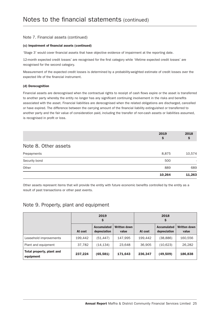#### Note 7. Financial assets (continued)

#### (c) Impairment of financial assets (continued)

'Stage 3' would cover financial assets that have objective evidence of impairment at the reporting date.

12-month expected credit losses' are recognised for the first category while 'lifetime expected credit losses' are recognised for the second category.

Measurement of the expected credit losses is determined by a probability-weighted estimate of credit losses over the expected life of the financial instrument.

#### (d) Derecognition

Financial assets are derecognised when the contractual rights to receipt of cash flows expire or the asset is transferred to another party whereby the entity no longer has any significant continuing involvement in the risks and benefits associated with the asset. Financial liabilities are derecognised when the related obligations are discharged, cancelled or have expired. The difference between the carrying amount of the financial liability extinguished or transferred to another party and the fair value of consideration paid, including the transfer of non-cash assets or liabilities assumed, is recognised in profit or loss.

|                      | 2019<br>Ş | 2018           |
|----------------------|-----------|----------------|
| Note 8. Other assets |           |                |
| Prepayments          | 8,875     | 10,574         |
| Security bond        | 500       | $\overline{a}$ |
| Other                | 889       | 689            |
|                      | 10,264    | 11,263         |

Other assets represent items that will provide the entity with future economic benefits controlled by the entity as a result of past transactions or other past events.

### Note 9. Property, plant and equipment

|                                        | 2019<br>\$ |                                    |                       | 2018<br>Ş |                                    |                              |
|----------------------------------------|------------|------------------------------------|-----------------------|-----------|------------------------------------|------------------------------|
|                                        | At cost    | <b>Accumulated</b><br>depreciation | Written down<br>value | At cost   | <b>Accumulated</b><br>depreciation | <b>Written down</b><br>value |
| Leasehold improvements                 | 199.442    | (51, 447)                          | 147,995               | 199.442   | (38, 886)                          | 160,556                      |
| Plant and equipment                    | 37,782     | (14, 134)                          | 23,648                | 36,905    | (10,623)                           | 26,282                       |
| Total property, plant and<br>equipment | 237,224    | (65, 581)                          | 171,643               | 236,347   | (49,509)                           | 186,838                      |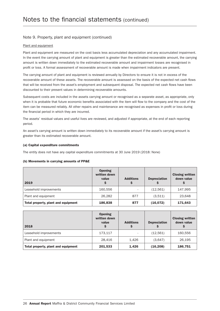#### Note 9. Property, plant and equipment (continued)

#### Plant and equipment

Plant and equipment are measured on the cost basis less accumulated depreciation and any accumulated impairment. In the event the carrying amount of plant and equipment is greater than the estimated recoverable amount, the carrying amount is written down immediately to the estimated recoverable amount and impairment losses are recognised in profit or loss. A formal assessment of recoverable amount is made when impairment indicators are present.

The carrying amount of plant and equipment is reviewed annually by Directors to ensure it is not in excess of the recoverable amount of these assets. The recoverable amount is assessed on the basis of the expected net cash flows that will be received from the asset's employment and subsequent disposal. The expected net cash flows have been discounted to their present values in determining recoverable amounts.

Subsequent costs are included in the assets carrying amount or recognised as a separate asset, as appropriate, only when it is probable that future economic benefits associated with the item will flow to the company and the cost of the item can be measured reliably. All other repairs and maintenance are recognised as expenses in profit or loss during the financial period in which they are incurred.

The assets' residual values and useful lives are reviewed, and adjusted if appropriate, at the end of each reporting period.

An asset's carrying amount is written down immediately to its recoverable amount if the asset's carrying amount is greater than its estimated recoverable amount.

#### (a) Capital expenditure commitments

The entity does not have any capital expenditure commitments at 30 June 2019 (2018: None)

#### (b) Movements in carrying amounts of PP&E

| 2019                                | <b>Opening</b><br>written down<br>value | <b>Additions</b><br>S | <b>Depreciation</b> | <b>Closing written</b><br>down value |
|-------------------------------------|-----------------------------------------|-----------------------|---------------------|--------------------------------------|
| Leasehold improvements              | 160,556                                 | $\overline{a}$        | (12,561)            | 147,995                              |
| Plant and equipment                 | 26,282                                  | 877                   | (3,511)             | 23,648                               |
| Total property, plant and equipment | 186,838                                 | 877                   | (16,072)            | 171,643                              |

| 2018                                | <b>Opening</b><br>written down<br>value | <b>Additions</b><br>Ş | <b>Depreciation</b> | <b>Closing written</b><br>down value |
|-------------------------------------|-----------------------------------------|-----------------------|---------------------|--------------------------------------|
| Leasehold improvements              | 173,117                                 |                       | (12,561)            | 160,556                              |
| Plant and equipment                 | 28,416                                  | 1.426                 | (3,647)             | 26,195                               |
| Total property, plant and equipment | 201,533                                 | 1,426                 | (16, 208)           | 186,751                              |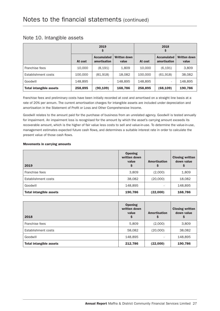|  | Note 10. Intangible assets |  |
|--|----------------------------|--|
|--|----------------------------|--|

|                                | 2019<br>\$ |                                    |                       |         |                                    |                       |
|--------------------------------|------------|------------------------------------|-----------------------|---------|------------------------------------|-----------------------|
|                                | At cost    | <b>Accumulated</b><br>amortisation | Written down<br>value | At cost | <b>Accumulated</b><br>amortisation | Written down<br>value |
| Franchise fees                 | 10,000     | (8, 191)                           | 1,809                 | 10,000  | (6, 191)                           | 3,809                 |
| Establishment costs            | 100,000    | (81,918)                           | 18,082                | 100,000 | (61, 918)                          | 38,082                |
| Goodwill                       | 148,895    | $\overline{\phantom{0}}$           | 148,895               | 148,895 | ٠                                  | 148,895               |
| <b>Total intangible assets</b> | 258,895    | (90,109)                           | 168,786               | 258,895 | (68,109)                           | 190,786               |

Franchise fees and preliminary costs have been initially recorded at cost and amortised on a straight line basis at a rate of 20% per annum. The current amortisation charges for intangible assets are included under depreciation and amortisation in the Statement of Profit or Loss and Other Comprehensive Income.

Goodwill relates to the amount paid for the purchase of business from an unrelated agency. Goodwill is tested annually for impairment. An impairment loss is recognised for the amount by which the asset's carrying amount exceeds its recoverable amount, which is the higher of fair value less costs to sell and value-in-use. To determine the value-in-use, management estimates expected future cash flows, and determines a suitable interest rate in order to calculate the present value of those cash flows.

#### Movements in carrying amounts

| 2019                           | <b>Opening</b><br>written down<br>value<br>\$ | <b>Amortisation</b><br>S | <b>Closing written</b><br>down value |
|--------------------------------|-----------------------------------------------|--------------------------|--------------------------------------|
| Franchise fees                 | 3,809                                         | (2,000)                  | 1,809                                |
| Establishment costs            | 38,082                                        | (20,000)                 | 18,082                               |
| Goodwill                       | 148,895                                       |                          | 148,895                              |
| <b>Total intangible assets</b> | 190,786                                       | (22,000)                 | 168,786                              |

| 2018                           | <b>Opening</b><br>written down<br>value<br>\$ | <b>Amortisation</b> | <b>Closing written</b><br>down value |
|--------------------------------|-----------------------------------------------|---------------------|--------------------------------------|
| Franchise fees                 | 5,809                                         | (2,000)             | 3,809                                |
| Establishment costs            | 58,082                                        | (20,000)            | 38,082                               |
| Goodwill                       | 148,895                                       |                     | 148,895                              |
| <b>Total intangible assets</b> | 212,786                                       | (22,000)            | 190,786                              |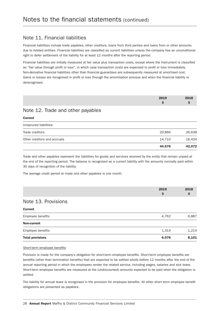### Note 11. Financial liabilities

Financial liabilities include trade payables, other creditors, loans from third parties and loans from or other amounts due to related entities. Financial liabilities are classified as current liabilities unless the company has an unconditional right to defer settlement of the liability for at least 12 months after the reporting period.

Financial liabilities are initially measured at fair value plus transaction costs, except where the instrument is classified as "fair value through profit or loss", in which case transaction costs are expensed to profit or loss immediately. Non-derivative financial liabilities other than financial guarantees are subsequently measured at amortised cost. Gains or losses are recognised in profit or loss through the amortisation process and when the financial liability is derecognised.

| 2019 | 2018 |
|------|------|
|      |      |

# Note 12. Trade and other payables

**Current** contract the contract of the contract of the contract of the contract of the contract of the contract of the contract of the contract of the contract of the contract of the contract of the contract of the contrac

|                              | 44.576 | 43,072 |
|------------------------------|--------|--------|
| Other creditors and accruals | 14.710 | 16,434 |
| Trade creditors              | 29.866 | 26,638 |
| Unsecured liabilities:       |        |        |

Trade and other payables represent the liabilities for goods and services received by the entity that remain unpaid at the end of the reporting period. The balance is recognised as a current liability with the amounts normally paid within 30 days of recognition of the liability.

The average credit period on trade and other payables is one month.

|                     | 2019 | 2018 |
|---------------------|------|------|
| Note 13. Provisions |      |      |
| <b>Current</b>      |      |      |

| <b>Total provisions</b> | 6,076 | 8.101 |
|-------------------------|-------|-------|
| Employee benefits       | 1,314 | 1,214 |
| Non-current             |       |       |
| Employee benefits       | 4.762 | 6.887 |

Short-term employee benefits

Provision is made for the company's obligation for short-term employee benefits. Short-term employee benefits are benefits (other than termination benefits) that are expected to be settled wholly before 12 months after the end of the annual reporting period in which the employees render the related service, including wages, salaries and sick leave. Short-term employee benefits are measured at the (undiscounted) amounts expected to be paid when the obligation is settled.

The liability for annual leave is recognised in the provision for employee benefits. All other short term employee benefit obligations are presented as payables.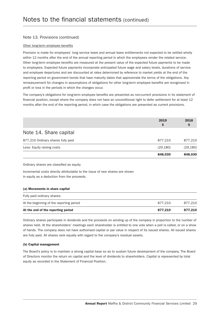#### Note 13. Provisions (continued)

#### Other long-term employee benefits

Provision is made for employees' long service leave and annual leave entitlements not expected to be settled wholly within 12 months after the end of the annual reporting period in which the employees render the related service. Other long-term employee benefits are measured at the present value of the expected future payments to be made to employees. Expected future payments incorporate anticipated future wage and salary levels, durations of service and employee departures and are discounted at rates determined by reference to market yields at the end of the reporting period on government bonds that have maturity dates that approximate the terms of the obligations. Any remeasurement for changes in assumptions of obligations for other long-term employee benefits are recognised in profit or loss in the periods in which the changes occur.

The company's obligations for long-term employee benefits are presented as non-current provisions in its statement of financial position, except where the company does not have an unconditional right to defer settlement for at least 12 months after the end of the reporting period, in which case the obligations are presented as current provisions.

|                                    | 2019<br>Ş | 2018      |
|------------------------------------|-----------|-----------|
| Note 14. Share capital             |           |           |
| 877,210 Ordinary shares fully paid | 877,210   | 877,210   |
| Less: Equity raising costs         | (29, 180) | (29, 180) |
|                                    | 848,030   | 848,030   |

Ordinary shares are classified as equity.

Incremental costs directly attributable to the issue of new shares are shown in equity as a deduction from the proceeds.

#### (a) Movements in share capital

| At the end of the reporting period       | 877.210 | 877.210 |
|------------------------------------------|---------|---------|
| At the beginning of the reporting period | 877.210 | 877.210 |
| Fully paid ordinary shares:              |         |         |

Ordinary shares participate in dividends and the proceeds on winding up of the company in proportion to the number of shares held. At the shareholders' meetings each shareholder is entitled to one vote when a poll is called, or on a show of hands. The company does not have authorised capital or par value in respect of its issued shares. All issued shares are fully paid. All shares rank equally with regard to the company's residual assets.

#### (b) Capital management

The Board's policy is to maintain a strong capital base so as to sustain future development of the company. The Board of Directors monitor the return on capital and the level of dividends to shareholders. Capital is represented by total equity as recorded in the Statement of Financial Position.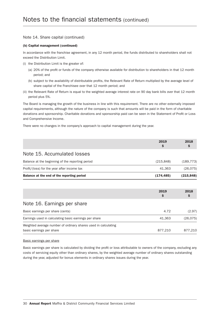#### Note 14. Share capital (continued)

#### (b) Capital management (continued)

In accordance with the franchise agreement, in any 12 month period, the funds distributed to shareholders shall not exceed the Distribution Limit.

- (i) the Distribution Limit is the greater of:
	- (a) 20% of the profit or funds of the company otherwise available for distribution to shareholders in that 12 month period; and
	- (b) subject to the availability of distributable profits, the Relevant Rate of Return multiplied by the average level of share capital of the Franchisee over that 12 month period; and
- (ii) the Relevant Rate of Return is equal to the weighted average interest rate on 90 day bank bills over that 12 month period plus 5%.

The Board is managing the growth of the business in line with this requirement. There are no other externally imposed capital requirements, although the nature of the company is such that amounts will be paid in the form of charitable donations and sponsorship. Charitable donations and sponsorship paid can be seen in the Statement of Profit or Loss and Comprehensive Income.

There were no changes in the company's approach to capital management during the year.

|                                                  | 2019<br>S  | 2018       |
|--------------------------------------------------|------------|------------|
| Note 15. Accumulated losses                      |            |            |
| Balance at the beginning of the reporting period | (215, 848) | (189, 773) |
| Profit/(loss) for the year after income tax      | 41.363     | (26, 075)  |
| Balance at the end of the reporting period       | (174,485)  | (215, 848) |
|                                                  |            |            |

|                                                                                            | 2019<br>\$ | 2018<br>Ş |
|--------------------------------------------------------------------------------------------|------------|-----------|
| Note 16. Earnings per share                                                                |            |           |
| Basic earnings per share (cents)                                                           | 4.72       | (2.97)    |
| Earnings used in calculating basic earnings per share                                      | 41.363     | (26, 075) |
| Weighted average number of ordinary shares used in calculating<br>basic earnings per share | 877,210    | 877,210   |

#### Basic earnings per share

Basic earnings per share is calculated by dividing the profit or loss attributable to owners of the company, excluding any costs of servicing equity other than ordinary shares, by the weighted average number of ordinary shares outstanding during the year, adjusted for bonus elements in ordinary shares issues during the year.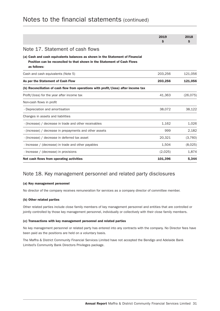|                                                                                                                                                                         | 2019<br>S | 2018<br>\$. |
|-------------------------------------------------------------------------------------------------------------------------------------------------------------------------|-----------|-------------|
| Note 17. Statement of cash flows                                                                                                                                        |           |             |
| (a) Cash and cash equivalents balances as shown in the Statement of Financial<br>Position can be reconciled to that shown in the Statement of Cash Flows<br>as follows: |           |             |
| Cash and cash equivalents (Note 5)                                                                                                                                      | 203,256   | 121,056     |
| As per the Statement of Cash Flow                                                                                                                                       | 203,256   | 121,056     |
| (b) Reconciliation of cash flow from operations with profit/(loss) after income tax                                                                                     |           |             |
| Profit/(loss) for the year after income tax                                                                                                                             | 41,363    | (26, 075)   |
| Non-cash flows in profit                                                                                                                                                |           |             |
| - Depreciation and amortisation                                                                                                                                         | 38,072    | 38,122      |
| Changes in assets and liabilities                                                                                                                                       |           |             |
| - (Increase) / decrease in trade and other receivables                                                                                                                  | 1,162     | 1,026       |
| - (increase) / decrease in prepayments and other assets                                                                                                                 | 999       | 2,182       |
| - (Increase) / decrease in deferred tax asset                                                                                                                           | 20,321    | (3,760)     |
| - Increase / (decrease) in trade and other payables                                                                                                                     | 1,504     | (8,025)     |
| - Increase / (decrease) in provisions                                                                                                                                   | (2,025)   | 1,874       |
| Net cash flows from operating activities                                                                                                                                | 101,396   | 5.344       |

# Notes to the financial statements (continued)

# Note 18. Key management personnel and related party disclosures

#### (a) Key management personnel

No director of the company receives remuneration for services as a company director of committee member.

#### (b) Other related parties

Other related parties include close family members of key management personnel and entities that are controlled or jointly controlled by those key management personnel, individually or collectively with their close family members.

#### (c) Transactions with key management personnel and related parties

No key management personnel or related party has entered into any contracts with the company. No Director fees have been paid as the positions are held on a voluntary basis.

The Maffra & District Community Financial Services Limited have not accepted the Bendigo and Adelaide Bank Limited's Community Bank Directors Privileges package.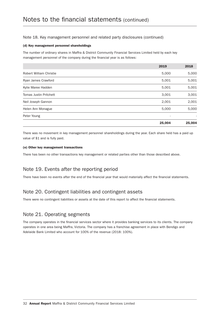#### Note 18. Key management personnel and related party disclosures (continued)

#### (d) Key management personnel shareholdings

The number of ordinary shares in Maffra & District Community Financial Services Limited held by each key management personnel of the company during the financial year is as follows:

|                               | 2019   | 2018   |
|-------------------------------|--------|--------|
| Robert William Christie       | 5,000  | 5,000  |
| Ryan James Crawford           | 5,001  | 5,001  |
| Kylie Maree Hadden            | 5,001  | 5,001  |
| <b>Tomas Justin Pritchett</b> | 3,001  | 3,001  |
| Neil Joseph Gannon            | 2,001  | 2,001  |
| Helen Ann Monague             | 5,000  | 5,000  |
| Peter Young                   |        |        |
|                               | 25,004 | 25,004 |

There was no movement in key management personnel shareholdings during the year. Each share held has a paid up value of \$1 and is fully paid.

#### (e) Other key management transactions

There has been no other transactions key management or related parties other than those described above.

# Note 19. Events after the reporting period

There have been no events after the end of the financial year that would materially affect the financial statements.

# Note 20. Contingent liabilities and contingent assets

There were no contingent liabilities or assets at the date of this report to affect the financial statements.

### Note 21. Operating segments

The company operates in the financial services sector where it provides banking services to its clients. The company operates in one area being Maffra, Victoria. The company has a franchise agreement in place with Bendigo and Adelaide Bank Limited who account for 100% of the revenue (2018: 100%).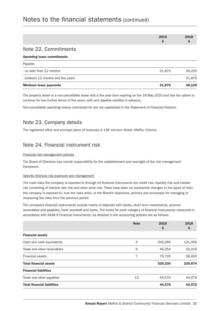# Notes to the financial statements (continued)

| 2019 | 2018 |
|------|------|
|      |      |
|      |      |

### Note 22. Commitments

#### Operating lease commitments

| <b>Minimum lease payments</b>      | 21,875 | 48.125 |
|------------------------------------|--------|--------|
| - between 12 months and five years |        | 21.875 |
| - no later than 12 months          | 21.875 | 26.250 |
| Payable:                           |        |        |

The property lease is a non-cancellable lease with a five year term expiring on the 18 May 2020 and has the option to continue for two further terms of five years, with rent payable monthly in advance.

Non-cancellable operating leases contracted for are not capitalised in the Statement of Financial Position.

### Note 23. Company details

The registered office and principal place of business is 146 Johnson Street, Maffra, Victoria.

### Note 24. Financial instrument risk

#### Financial risk management policies

The Board of Directors has overall responsibility for the establishment and oversight of the risk management framework.

#### Specific financial risk exposure and management

The main risks the company is exposed to through its financial instruments are credit risk, liquidity risk and market risk consisting of interest rate risk and other price risk. There have been no substantial changes in the types of risks the company is exposed to, how the risks arise, or the Board's objectives, policies and processes for managing or measuring the risks from the previous period.

The company's financial instruments consist mainly of deposits with banks, short term investments, account receivables and payables, bank overdraft and loans. The totals for each category of financial instruments measured in accordance with AASB 9 Financial Instruments: as detailed in the accounting policies are as follows:

|                                    | <b>Note</b> | 2019<br>\$ | 2018<br>Ş |
|------------------------------------|-------------|------------|-----------|
| <b>Financial assets</b>            |             |            |           |
| Cash and cash equivalents          | 5           | 203,256    | 121,056   |
| Trade and other receivables        | 6           | 49,254     | 50,416    |
| <b>Financial assets</b>            | 7           | 76,720     | 58,402    |
| <b>Total financial assets</b>      |             | 329,230    | 229,874   |
| <b>Financial liabilities</b>       |             |            |           |
| Trade and other payables           | 12          | 44,576     | 43,072    |
| <b>Total financial liabilities</b> |             | 44,576     | 43,072    |
|                                    |             |            |           |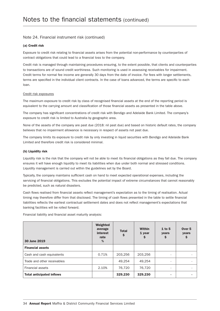#### Note 24. Financial instrument risk (continued)

#### (a) Credit risk

Exposure to credit risk relating to financial assets arises from the potential non-performance by counterparties of contract obligations that could lead to a financial loss to the company.

Credit risk is managed through maintaining procedures ensuring, to the extent possible, that clients and counterparties to transactions are of sound credit worthiness. Such monitoring is used in assessing receivables for impairment. Credit terms for normal fee income are generally 30 days from the date of invoice. For fees with longer settlements, terms are specified in the individual client contracts. In the case of loans advanced, the terms are specific to each loan.

#### Credit risk exposures

The maximum exposure to credit risk by class of recognised financial assets at the end of the reporting period is equivalent to the carrying amount and classification of those financial assets as presented in the table above.

The company has significant concentrations of credit risk with Bendigo and Adelaide Bank Limited. The company's exposure to credit risk is limited to Australia by geographic area.

None of the assets of the company are past due (2018: nil past due) and based on historic default rates, the company believes that no impairment allowance is necessary in respect of assets not past due.

The company limits its exposure to credit risk by only investing in liquid securities with Bendigo and Adelaide Bank Limited and therefore credit risk is considered minimal.

#### (b) Liquidity risk

Liquidity risk is the risk that the company will not be able to meet its financial obligations as they fall due. The company ensures it will have enough liquidity to meet its liabilities when due under both normal and stressed conditions. Liquidity management is carried out within the guidelines set by the Board.

Typically, the company maintains sufficient cash on hand to meet expected operational expenses, including the servicing of financial obligations. This excludes the potential impact of extreme circumstances that cannot reasonably be predicted, such as natural disasters.

Cash flows realised from financial assets reflect management's expectation as to the timing of realisation. Actual timing may therefore differ from that disclosed. The timing of cash flows presented in the table to settle financial liabilities reflects the earliest contractual settlement dates and does not reflect management's expectations that banking facilities will be rolled forward.

Financial liability and financial asset maturity analysis:

| 30 June 2019                     | Weighted<br>average<br>interest<br>rate<br>% | <b>Total</b><br>Ş | <b>Within</b><br>1 year<br>Ş | $1$ to 5<br>years        | Over <sub>5</sub><br>years<br>\$ |
|----------------------------------|----------------------------------------------|-------------------|------------------------------|--------------------------|----------------------------------|
| <b>Financial assets</b>          |                                              |                   |                              |                          |                                  |
| Cash and cash equivalents        | 0.71%                                        | 203.256           | 203.256                      | ٠                        |                                  |
| Trade and other receivables      |                                              | 49.254            | 49.254                       | -                        |                                  |
| <b>Financial assets</b>          | 2.10%                                        | 76,720            | 76,720                       | $\overline{\phantom{0}}$ |                                  |
| <b>Total anticipated inflows</b> |                                              | 329,230           | 329,230                      |                          |                                  |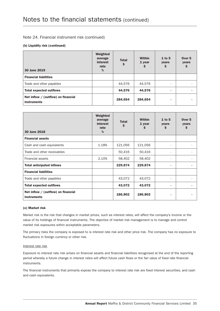#### Note 24. Financial instrument risk (continued)

#### (b) Liquidity risk (continued)

| 30 June 2019                                                | Weighted<br>average<br>interest<br>rate<br>% | <b>Total</b><br>\$ | <b>Within</b><br>1 year<br>\$ | $1$ to 5<br>years<br>\$  | Over <sub>5</sub><br>years<br>\$ |
|-------------------------------------------------------------|----------------------------------------------|--------------------|-------------------------------|--------------------------|----------------------------------|
| <b>Financial liabilities</b>                                |                                              |                    |                               |                          |                                  |
| Trade and other payables                                    |                                              | 44,576             | 44,576                        | $\overline{\phantom{a}}$ |                                  |
| <b>Total expected outflows</b>                              |                                              | 44,576             | 44,576                        | ٠                        |                                  |
| Net inflow $/$ (outflow) on financial<br><b>instruments</b> |                                              | 284,654            | 284,654                       | ۰                        |                                  |

| 30 June 2018                                                | Weighted<br>average<br><i>interest</i><br>rate<br>$\frac{0}{0}$ | <b>Total</b><br>\$ | <b>Within</b><br>1 year<br>S | $1$ to 5<br>years<br>\$ | Over <sub>5</sub><br>years<br>\$. |
|-------------------------------------------------------------|-----------------------------------------------------------------|--------------------|------------------------------|-------------------------|-----------------------------------|
| <b>Financial assets</b>                                     |                                                                 |                    |                              |                         |                                   |
| Cash and cash equivalents                                   | 1.18%                                                           | 121,056            | 121,056                      | ٠                       |                                   |
| Trade and other receivables                                 |                                                                 | 50,416             | 50,416                       |                         |                                   |
| <b>Financial assets</b>                                     | 2.10%                                                           | 58,402             | 58,402                       | ٠                       | ۰                                 |
| <b>Total anticipated inflows</b>                            |                                                                 | 229,874            | 229,874                      | ۰                       |                                   |
| <b>Financial liabilities</b>                                |                                                                 |                    |                              |                         |                                   |
| Trade and other payables                                    |                                                                 | 43,072             | 43,072                       | ٠                       | ۰                                 |
| <b>Total expected outflows</b>                              |                                                                 | 43,072             | 43,072                       | ۰                       | ٠                                 |
| Net inflow $/$ (outflow) on financial<br><b>instruments</b> |                                                                 | 186,802            | 186,802                      | ۰                       | ٠                                 |

#### (c) Market risk

Market risk is the risk that changes in market prices, such as interest rates, will affect the company's income or the value of its holdings of financial instruments. The objective of market risk management is to manage and control market risk exposures within acceptable parameters.

The primary risks the company is exposed to is interest rate risk and other price risk. The company has no exposure to fluctuations in foreign currency or other risk.

#### Interest rate risk

Exposure to interest rate risk arises on financial assets and financial liabilities recognised at the end of the reporting period whereby a future change in interest rates will affect future cash flows or the fair value of fixed rate financial instruments.

The financial instruments that primarily expose the company to interest rate risk are fixed interest securities, and cash and cash equivalents.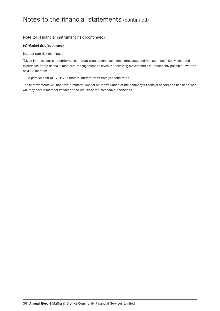#### Note 24. Financial instrument risk (continued)

#### (c) Market risk (continued)

#### Interest rate risk (continued)

Taking into account past performance, future expectations, economic forecasts, and management's knowledge and experience of the financial markets, management believes the following movements are 'reasonably possible' over the next 12 months:

• A parallel shift of +/- 1% in market interest rates from year-end rates.

These movements will not have a material impact on the valuation of the company's financial assets and liabilities, nor will they have a material impact on the results of the company's operations.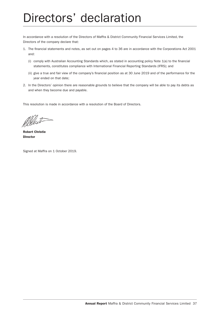# Directors' declaration

In accordance with a resolution of the Directors of Maffra & District Community Financial Services Limited, the Directors of the company declare that:

- 1. The financial statements and notes, as set out on pages 4 to 36 are in accordance with the Corporations Act 2001 and:
	- (i) comply with Australian Accounting Standards which, as stated in accounting policy Note 1(a) to the financial statements, constitutes compliance with International Financial Reporting Standards (IFRS); and
	- (ii) give a true and fair view of the company's financial position as at 30 June 2019 and of the performance for the year ended on that date;
- 2. In the Directors' opinion there are reasonable grounds to believe that the company will be able to pay its debts as and when they become due and payable.

This resolution is made in accordance with a resolution of the Board of Directors.

Albert

Robert Christie Director

Signed at Maffra on 1 October 2019.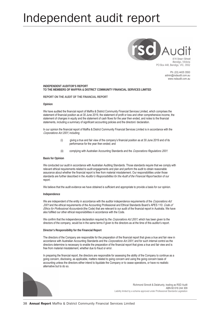# Independent audit report



Ph: (03) 4435 3550 admin@rsdaudit.com.au www.rsdaudit.com.au

**INDEPENDENT AUDITOR'S REPORT TO THE MEMBERS OF MAFFRA & DISTRICT COMMUNITY FINANCIAL SERVICES LIMITED**

**REPORT ON THE AUDIT OF THE FINANCIAL REPORT**

#### **Opinion**

We have audited the financial report of Maffra & District Community Financial Services Limited, which comprises the statement of financial position as at 30 June 2019, the statement of profit or loss and other comprehensive income, the statement of changes in equity and the statement of cash flows for the year then ended, and notes to the financial statements, including a summary of significant accounting policies and the directors' declaration.

In our opinion the financial report of Maffra & District Community Financial Services Limited is in accordance with the *Corporations Act 2001*, including:

- (i) giving a true and fair view of the company's financial position as at 30 June 2019 and of its performance for the year then ended; and
- (ii) complying with Australian Accounting Standards and the *Corporations Regulations 2001.*

**Basis for Opinion**

We conducted our audit in accordance with Australian Auditing Standards. Those standards require that we comply with relevant ethical requirements related to audit engagements and plan and perform the audit to obtain reasonable assurance about whether the financial report is free from material misstatement. Our responsibilities under those standards are further described in the *Auditor's Responsibilities for the Audit of the Financial Report* section of our report.

We believe that the audit evidence we have obtained is sufficient and appropriate to provide a basis for our opinion.

**Independence**

We are independent of the entity in accordance with the auditor independence requirements of the *Corporations Act 2001* and the ethical requirements of the Accounting Professional and Ethical Standards Board's APES 110: *Code of Ethics for Professional Accountants* (the Code) that are relevant to our audit of the financial report in Australia. We have also fulfilled our other ethical responsibilities in accordance with the Code.

We confirm that the independence declaration required by the *Corporations Act 2001*, which has been given to the directors of the company, would be in the same terms if given to the directors as at the time of this auditor's report.

**Director's Responsibility for the Financial Report**

The directors of the Company are responsible for the preparation of the financial report that gives a true and fair view in accordance with Australian Accounting Standards and the *Corporations Act 2001,* and for such internal control as the directors determine is necessary to enable the preparation of the financial report that gives a true and fair view and is free from material misstatement, whether due to fraud or error.

In preparing the financial report, the directors are responsible for assessing the ability of the Company to continue as a going concern, disclosing, as applicable, matters related to going concern and using the going concern basis of accounting unless the directors either intend to liquidate the Company or to cease operations, or have no realistic alternative but to do so.



Richmond Sinnott & Delahunty, trading as RSD Audit ABN 60 616 244 309 Liability limited by a scheme approved under Professional Standards Legislation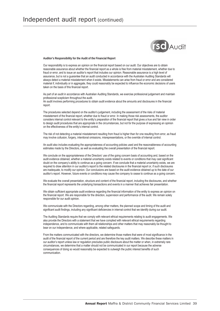

**Auditor's Responsibility for the Audit of the Financial Report**

Our responsibility is to express an opinion on the financial report based on our audit. Our objectives are to obtain reasonable assurance about whether the financial report as a whole is free from material misstatement, whether due to fraud or error, and to issue an auditor's report that includes our opinion. Reasonable assurance is a high level of assurance, but is not a guarantee that an audit conducted in accordance with the Australian Auditing Standards will always detect a material misstatement when it exists. Misstatements can arise from fraud or error and are considered material if, individually or in aggregate, they could reasonably be expected to influence the economic decisions of users taken on the basis of this financial report.

As part of an audit in accordance with Australian Auditing Standards, we exercise professional judgement and maintain professional scepticism throughout the audit.

An audit involves performing procedures to obtain audit evidence about the amounts and disclosures in the financial report.

The procedures selected depend on the auditor's judgement, including the assessment of the risks of material misstatement of the financial report, whether due to fraud or error. In making those risk assessments, the auditor considers internal control relevant to the entity's preparation of the financial report that gives a true and fair view in order to design audit procedures that are appropriate in the circumstances, but not for the purpose of expressing an opinion on the effectiveness of the entity's internal control.

The risk of not detecting a material misstatement resulting from fraud is higher than for one resulting from error, as fraud may involve collusion, forgery, intentional omissions, misrepresentations, or the override of internal control.

An audit also includes evaluating the appropriateness of accounting policies used and the reasonableness of accounting estimates made by the Directors, as well as evaluating the overall presentation of the financial report.

We conclude on the appropriateness of the Directors' use of the going concern basis of accounting and, based on the audit evidence obtained, whether a material uncertainty exists related to events or conditions that may cast significant doubt on the company's ability to continue as a going concern. If we conclude that a material uncertainty exists, we are required to draw attention in our auditor's report to the related disclosures in the financial report or, if such disclosures are inadequate, to modify our opinion. Our conclusions are based on the audit evidence obtained up to the date of our auditor's report. However, future events or conditions may cause the company to cease to continue as a going concern.

We evaluate the overall presentation, structure and content of the financial report, including the disclosures, and whether the financial report represents the underlying transactions and events in a manner that achieves fair presentation.

We obtain sufficient appropriate audit evidence regarding the financial information of the entity to express an opinion on the financial report. We are responsible for the direction, supervision and performance of the audit. We remain solely responsible for our audit opinion.

We communicate with the Directors regarding, among other matters, the planned scope and timing of the audit and significant audit findings, including any significant deficiencies in internal control that we identify during our audit.

The Auditing Standards require that we comply with relevant ethical requirements relating to audit engagements. We also provide the Directors with a statement that we have complied with relevant ethical requirements regarding independence, and to communicate with them all relationships and other matters that may reasonably be thought to bear on our independence, and where applicable, related safeguards.

From the matters communicated with the directors, we determine those matters that were of most significance in the audit of the financial report of the current period and are therefore the key audit matters. We describe these matters in our auditor's report unless law or regulation precludes public disclosure about the matter or when, in extremely rare circumstances, we determine that a matter should not be communicated in our report because the adverse consequences of doing so would reasonably be expected to outweigh the public interest benefits of such communication.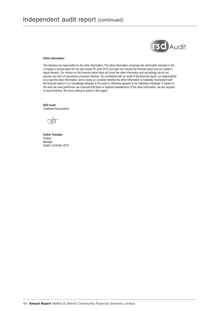

#### **Other Information**

The directors are responsible for the other information. The other information comprises the information included in the Company's annual report for the year ended 30 June 2019, but does not include the financial report and our auditor's report thereon. Our opinion on the financial report does not cover the other information and accordingly we do not express any form of assurance conclusion thereon. On connection with our audit of the financial report, our responsibility is to read the other information, and in doing so, consider whether the other information is materially inconsistent with the financial report or our knowledge obtained in the audit or otherwise appears to be materially misstated. If, based on the work we have performed, we conclude that there is material misstatement of this other information, we are required to report that fact. We have nothing to report in this regard.

**RSD Audit** Chartered Accountants

**Kathie Teasdale** Partner Bendigo Dated: 4 October 2019